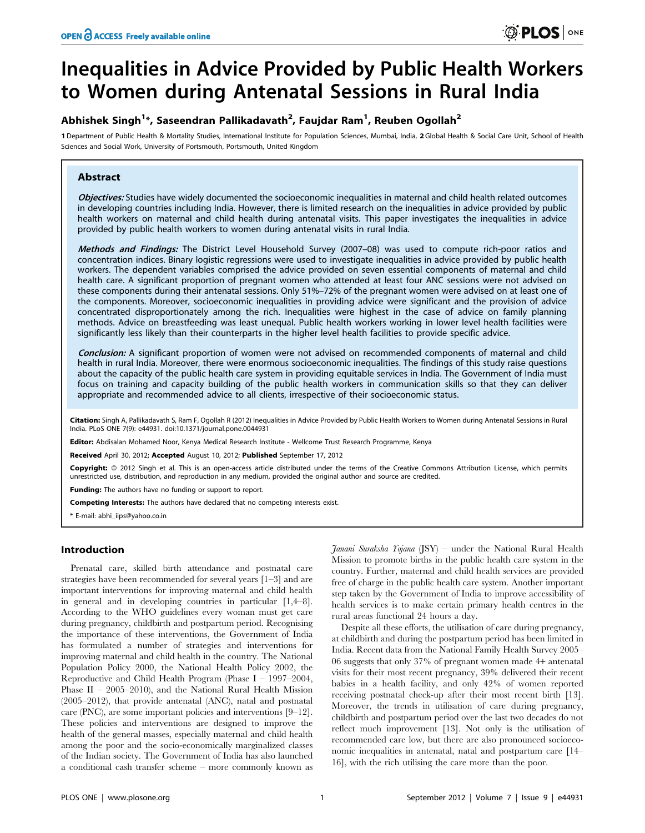# Inequalities in Advice Provided by Public Health Workers to Women during Antenatal Sessions in Rural India

# Abhishek Singh $^{1*}$ , Saseendran Pallikadavath $^{2}$ , Faujdar Ram $^{1}$ , Reuben Ogollah $^{2}$

1 Department of Public Health & Mortality Studies, International Institute for Population Sciences, Mumbai, India, 2 Global Health & Social Care Unit, School of Health Sciences and Social Work, University of Portsmouth, Portsmouth, United Kingdom

# Abstract

Objectives: Studies have widely documented the socioeconomic inequalities in maternal and child health related outcomes in developing countries including India. However, there is limited research on the inequalities in advice provided by public health workers on maternal and child health during antenatal visits. This paper investigates the inequalities in advice provided by public health workers to women during antenatal visits in rural India.

Methods and Findings: The District Level Household Survey (2007-08) was used to compute rich-poor ratios and concentration indices. Binary logistic regressions were used to investigate inequalities in advice provided by public health workers. The dependent variables comprised the advice provided on seven essential components of maternal and child health care. A significant proportion of pregnant women who attended at least four ANC sessions were not advised on these components during their antenatal sessions. Only 51%–72% of the pregnant women were advised on at least one of the components. Moreover, socioeconomic inequalities in providing advice were significant and the provision of advice concentrated disproportionately among the rich. Inequalities were highest in the case of advice on family planning methods. Advice on breastfeeding was least unequal. Public health workers working in lower level health facilities were significantly less likely than their counterparts in the higher level health facilities to provide specific advice.

Conclusion: A significant proportion of women were not advised on recommended components of maternal and child health in rural India. Moreover, there were enormous socioeconomic inequalities. The findings of this study raise questions about the capacity of the public health care system in providing equitable services in India. The Government of India must focus on training and capacity building of the public health workers in communication skills so that they can deliver appropriate and recommended advice to all clients, irrespective of their socioeconomic status.

Citation: Singh A, Pallikadavath S, Ram F, Ogollah R (2012) Inequalities in Advice Provided by Public Health Workers to Women during Antenatal Sessions in Rural India. PLoS ONE 7(9): e44931. doi:10.1371/journal.pone.0044931

Editor: Abdisalan Mohamed Noor, Kenya Medical Research Institute - Wellcome Trust Research Programme, Kenya

Received April 30, 2012; Accepted August 10, 2012; Published September 17, 2012

Copyright: © 2012 Singh et al. This is an open-access article distributed under the terms of the Creative Commons Attribution License, which permits unrestricted use, distribution, and reproduction in any medium, provided the original author and source are credited.

Funding: The authors have no funding or support to report.

Competing Interests: The authors have declared that no competing interests exist.

\* E-mail: abhi\_iips@yahoo.co.in

# Introduction

Prenatal care, skilled birth attendance and postnatal care strategies have been recommended for several years [1–3] and are important interventions for improving maternal and child health in general and in developing countries in particular [1,4–8]. According to the WHO guidelines every woman must get care during pregnancy, childbirth and postpartum period. Recognising the importance of these interventions, the Government of India has formulated a number of strategies and interventions for improving maternal and child health in the country. The National Population Policy 2000, the National Health Policy 2002, the Reproductive and Child Health Program (Phase I – 1997–2004, Phase II – 2005–2010), and the National Rural Health Mission (2005–2012), that provide antenatal (ANC), natal and postnatal care (PNC), are some important policies and interventions [9–12]. These policies and interventions are designed to improve the health of the general masses, especially maternal and child health among the poor and the socio-economically marginalized classes of the Indian society. The Government of India has also launched a conditional cash transfer scheme – more commonly known as

Janani Suraksha Yojana (JSY) – under the National Rural Health Mission to promote births in the public health care system in the country. Further, maternal and child health services are provided free of charge in the public health care system. Another important step taken by the Government of India to improve accessibility of health services is to make certain primary health centres in the rural areas functional 24 hours a day.

Despite all these efforts, the utilisation of care during pregnancy, at childbirth and during the postpartum period has been limited in India. Recent data from the National Family Health Survey 2005– 06 suggests that only 37% of pregnant women made 4+ antenatal visits for their most recent pregnancy, 39% delivered their recent babies in a health facility, and only 42% of women reported receiving postnatal check-up after their most recent birth [13]. Moreover, the trends in utilisation of care during pregnancy, childbirth and postpartum period over the last two decades do not reflect much improvement [13]. Not only is the utilisation of recommended care low, but there are also pronounced socioeconomic inequalities in antenatal, natal and postpartum care [14– 16], with the rich utilising the care more than the poor.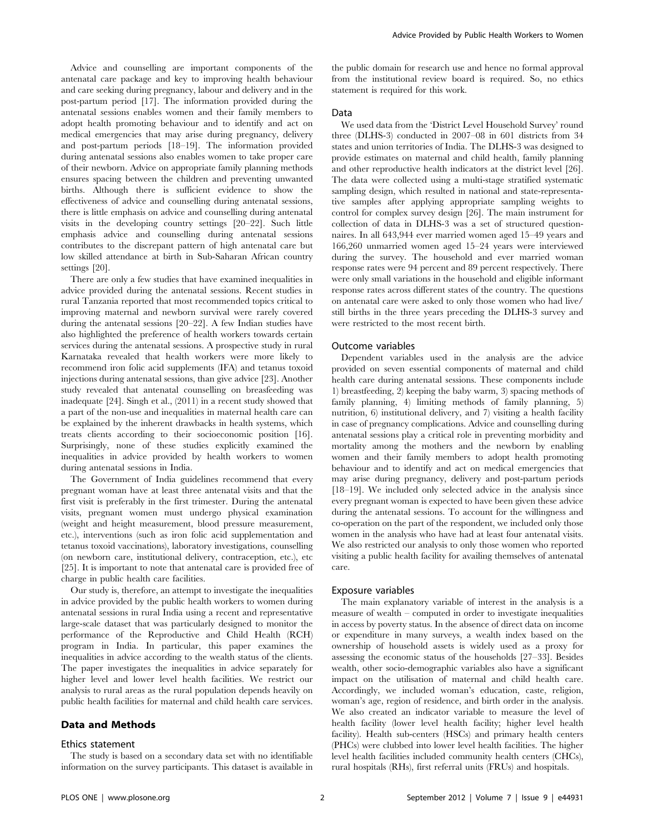Advice and counselling are important components of the antenatal care package and key to improving health behaviour and care seeking during pregnancy, labour and delivery and in the post-partum period [17]. The information provided during the antenatal sessions enables women and their family members to adopt health promoting behaviour and to identify and act on medical emergencies that may arise during pregnancy, delivery and post-partum periods [18–19]. The information provided during antenatal sessions also enables women to take proper care of their newborn. Advice on appropriate family planning methods ensures spacing between the children and preventing unwanted births. Although there is sufficient evidence to show the effectiveness of advice and counselling during antenatal sessions, there is little emphasis on advice and counselling during antenatal visits in the developing country settings [20–22]. Such little emphasis advice and counselling during antenatal sessions contributes to the discrepant pattern of high antenatal care but low skilled attendance at birth in Sub-Saharan African country settings [20].

There are only a few studies that have examined inequalities in advice provided during the antenatal sessions. Recent studies in rural Tanzania reported that most recommended topics critical to improving maternal and newborn survival were rarely covered during the antenatal sessions [20–22]. A few Indian studies have also highlighted the preference of health workers towards certain services during the antenatal sessions. A prospective study in rural Karnataka revealed that health workers were more likely to recommend iron folic acid supplements (IFA) and tetanus toxoid injections during antenatal sessions, than give advice [23]. Another study revealed that antenatal counselling on breasfeeding was inadequate [24]. Singh et al., (2011) in a recent study showed that a part of the non-use and inequalities in maternal health care can be explained by the inherent drawbacks in health systems, which treats clients according to their socioeconomic position [16]. Surprisingly, none of these studies explicitly examined the inequalities in advice provided by health workers to women during antenatal sessions in India.

The Government of India guidelines recommend that every pregnant woman have at least three antenatal visits and that the first visit is preferably in the first trimester. During the antenatal visits, pregnant women must undergo physical examination (weight and height measurement, blood pressure measurement, etc.), interventions (such as iron folic acid supplementation and tetanus toxoid vaccinations), laboratory investigations, counselling (on newborn care, institutional delivery, contraception, etc.), etc [25]. It is important to note that antenatal care is provided free of charge in public health care facilities.

Our study is, therefore, an attempt to investigate the inequalities in advice provided by the public health workers to women during antenatal sessions in rural India using a recent and representative large-scale dataset that was particularly designed to monitor the performance of the Reproductive and Child Health (RCH) program in India. In particular, this paper examines the inequalities in advice according to the wealth status of the clients. The paper investigates the inequalities in advice separately for higher level and lower level health facilities. We restrict our analysis to rural areas as the rural population depends heavily on public health facilities for maternal and child health care services.

# Data and Methods

#### Ethics statement

The study is based on a secondary data set with no identifiable information on the survey participants. This dataset is available in the public domain for research use and hence no formal approval from the institutional review board is required. So, no ethics statement is required for this work.

## Data

We used data from the 'District Level Household Survey' round three (DLHS-3) conducted in 2007–08 in 601 districts from 34 states and union territories of India. The DLHS-3 was designed to provide estimates on maternal and child health, family planning and other reproductive health indicators at the district level [26]. The data were collected using a multi-stage stratified systematic sampling design, which resulted in national and state-representative samples after applying appropriate sampling weights to control for complex survey design [26]. The main instrument for collection of data in DLHS-3 was a set of structured questionnaires. In all 643,944 ever married women aged 15–49 years and 166,260 unmarried women aged 15–24 years were interviewed during the survey. The household and ever married woman response rates were 94 percent and 89 percent respectively. There were only small variations in the household and eligible informant response rates across different states of the country. The questions on antenatal care were asked to only those women who had live/ still births in the three years preceding the DLHS-3 survey and were restricted to the most recent birth.

#### Outcome variables

Dependent variables used in the analysis are the advice provided on seven essential components of maternal and child health care during antenatal sessions. These components include 1) breastfeeding, 2) keeping the baby warm, 3) spacing methods of family planning, 4) limiting methods of family planning, 5) nutrition, 6) institutional delivery, and 7) visiting a health facility in case of pregnancy complications. Advice and counselling during antenatal sessions play a critical role in preventing morbidity and mortality among the mothers and the newborn by enabling women and their family members to adopt health promoting behaviour and to identify and act on medical emergencies that may arise during pregnancy, delivery and post-partum periods [18–19]. We included only selected advice in the analysis since every pregnant woman is expected to have been given these advice during the antenatal sessions. To account for the willingness and co-operation on the part of the respondent, we included only those women in the analysis who have had at least four antenatal visits. We also restricted our analysis to only those women who reported visiting a public health facility for availing themselves of antenatal care.

#### Exposure variables

The main explanatory variable of interest in the analysis is a measure of wealth – computed in order to investigate inequalities in access by poverty status. In the absence of direct data on income or expenditure in many surveys, a wealth index based on the ownership of household assets is widely used as a proxy for assessing the economic status of the households [27–33]. Besides wealth, other socio-demographic variables also have a significant impact on the utilisation of maternal and child health care. Accordingly, we included woman's education, caste, religion, woman's age, region of residence, and birth order in the analysis. We also created an indicator variable to measure the level of health facility (lower level health facility; higher level health facility). Health sub-centers (HSCs) and primary health centers (PHCs) were clubbed into lower level health facilities. The higher level health facilities included community health centers (CHCs), rural hospitals (RHs), first referral units (FRUs) and hospitals.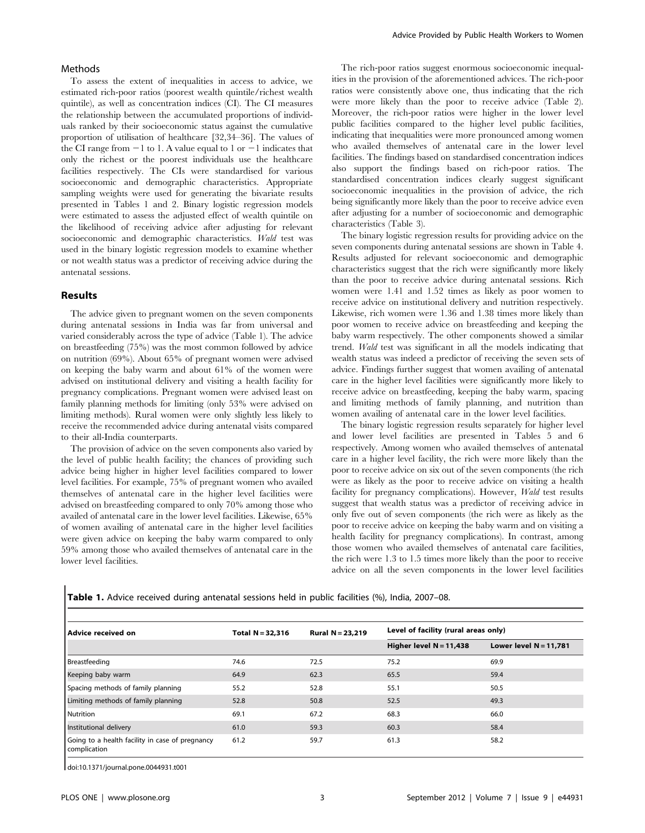#### Methods

To assess the extent of inequalities in access to advice, we estimated rich-poor ratios (poorest wealth quintile/richest wealth quintile), as well as concentration indices (CI). The CI measures the relationship between the accumulated proportions of individuals ranked by their socioeconomic status against the cumulative proportion of utilisation of healthcare [32,34–36]. The values of the CI range from  $-1$  to 1. A value equal to 1 or  $-1$  indicates that only the richest or the poorest individuals use the healthcare facilities respectively. The CIs were standardised for various socioeconomic and demographic characteristics. Appropriate sampling weights were used for generating the bivariate results presented in Tables 1 and 2. Binary logistic regression models were estimated to assess the adjusted effect of wealth quintile on the likelihood of receiving advice after adjusting for relevant socioeconomic and demographic characteristics. Wald test was used in the binary logistic regression models to examine whether or not wealth status was a predictor of receiving advice during the antenatal sessions.

#### Results

The advice given to pregnant women on the seven components during antenatal sessions in India was far from universal and varied considerably across the type of advice (Table 1). The advice on breastfeeding (75%) was the most common followed by advice on nutrition (69%). About 65% of pregnant women were advised on keeping the baby warm and about 61% of the women were advised on institutional delivery and visiting a health facility for pregnancy complications. Pregnant women were advised least on family planning methods for limiting (only 53% were advised on limiting methods). Rural women were only slightly less likely to receive the recommended advice during antenatal visits compared to their all-India counterparts.

The provision of advice on the seven components also varied by the level of public health facility; the chances of providing such advice being higher in higher level facilities compared to lower level facilities. For example, 75% of pregnant women who availed themselves of antenatal care in the higher level facilities were advised on breastfeeding compared to only 70% among those who availed of antenatal care in the lower level facilities. Likewise, 65% of women availing of antenatal care in the higher level facilities were given advice on keeping the baby warm compared to only 59% among those who availed themselves of antenatal care in the lower level facilities.

The rich-poor ratios suggest enormous socioeconomic inequalities in the provision of the aforementioned advices. The rich-poor ratios were consistently above one, thus indicating that the rich were more likely than the poor to receive advice (Table 2). Moreover, the rich-poor ratios were higher in the lower level public facilities compared to the higher level public facilities, indicating that inequalities were more pronounced among women who availed themselves of antenatal care in the lower level facilities. The findings based on standardised concentration indices also support the findings based on rich-poor ratios. The standardised concentration indices clearly suggest significant socioeconomic inequalities in the provision of advice, the rich being significantly more likely than the poor to receive advice even after adjusting for a number of socioeconomic and demographic characteristics (Table 3).

The binary logistic regression results for providing advice on the seven components during antenatal sessions are shown in Table 4. Results adjusted for relevant socioeconomic and demographic characteristics suggest that the rich were significantly more likely than the poor to receive advice during antenatal sessions. Rich women were 1.41 and 1.52 times as likely as poor women to receive advice on institutional delivery and nutrition respectively. Likewise, rich women were 1.36 and 1.38 times more likely than poor women to receive advice on breastfeeding and keeping the baby warm respectively. The other components showed a similar trend. Wald test was significant in all the models indicating that wealth status was indeed a predictor of receiving the seven sets of advice. Findings further suggest that women availing of antenatal care in the higher level facilities were significantly more likely to receive advice on breastfeeding, keeping the baby warm, spacing and limiting methods of family planning, and nutrition than women availing of antenatal care in the lower level facilities.

The binary logistic regression results separately for higher level and lower level facilities are presented in Tables 5 and 6 respectively. Among women who availed themselves of antenatal care in a higher level facility, the rich were more likely than the poor to receive advice on six out of the seven components (the rich were as likely as the poor to receive advice on visiting a health facility for pregnancy complications). However, Wald test results suggest that wealth status was a predictor of receiving advice in only five out of seven components (the rich were as likely as the poor to receive advice on keeping the baby warm and on visiting a health facility for pregnancy complications). In contrast, among those women who availed themselves of antenatal care facilities, the rich were 1.3 to 1.5 times more likely than the poor to receive advice on all the seven components in the lower level facilities

|  |  |  |  | <b>Table 1.</b> Advice received during antenatal sessions held in public facilities (%), India, 2007–08. |  |  |  |  |  |  |  |  |  |
|--|--|--|--|----------------------------------------------------------------------------------------------------------|--|--|--|--|--|--|--|--|--|
|--|--|--|--|----------------------------------------------------------------------------------------------------------|--|--|--|--|--|--|--|--|--|

| Advice received on                                              | Total $N = 32,316$ | Rural $N = 23.219$ | Level of facility (rural areas only) |                          |
|-----------------------------------------------------------------|--------------------|--------------------|--------------------------------------|--------------------------|
|                                                                 |                    |                    | Higher level $N = 11,438$            | Lower level $N = 11.781$ |
| Breastfeeding                                                   | 74.6               | 72.5               | 75.2                                 | 69.9                     |
| Keeping baby warm                                               | 64.9               | 62.3               | 65.5                                 | 59.4                     |
| Spacing methods of family planning                              | 55.2               | 52.8               | 55.1                                 | 50.5                     |
| Limiting methods of family planning                             | 52.8               | 50.8               | 52.5                                 | 49.3                     |
| <b>Nutrition</b>                                                | 69.1               | 67.2               | 68.3                                 | 66.0                     |
| Institutional delivery                                          | 61.0               | 59.3               | 60.3                                 | 58.4                     |
| Going to a health facility in case of pregnancy<br>complication | 61.2               | 59.7               | 61.3                                 | 58.2                     |

doi:10.1371/journal.pone.0044931.t001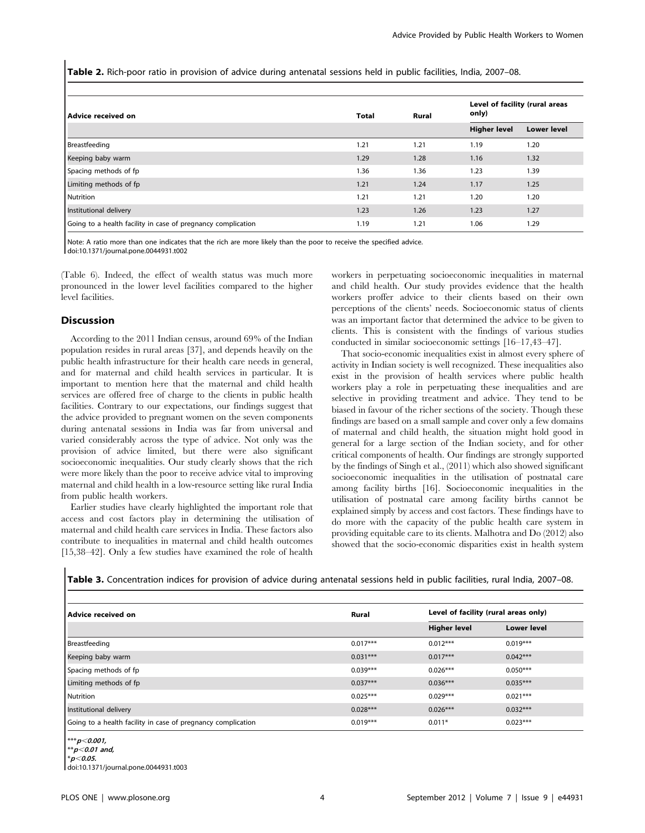Table 2. Rich-poor ratio in provision of advice during antenatal sessions held in public facilities, India, 2007–08.

| Advice received on                                           | <b>Total</b> | Rural | Level of facility (rural areas<br>only) |                    |
|--------------------------------------------------------------|--------------|-------|-----------------------------------------|--------------------|
|                                                              |              |       | <b>Higher level</b>                     | <b>Lower level</b> |
| Breastfeeding                                                | 1.21         | 1.21  | 1.19                                    | 1.20               |
| Keeping baby warm                                            | 1.29         | 1.28  | 1.16                                    | 1.32               |
| Spacing methods of fp                                        | 1.36         | 1.36  | 1.23                                    | 1.39               |
| Limiting methods of fp                                       | 1.21         | 1.24  | 1.17                                    | 1.25               |
| Nutrition                                                    | 1.21         | 1.21  | 1.20                                    | 1.20               |
| Institutional delivery                                       | 1.23         | 1.26  | 1.23                                    | 1.27               |
| Going to a health facility in case of pregnancy complication | 1.19         | 1.21  | 1.06                                    | 1.29               |

Note: A ratio more than one indicates that the rich are more likely than the poor to receive the specified advice. doi:10.1371/journal.pone.0044931.t002

(Table 6). Indeed, the effect of wealth status was much more pronounced in the lower level facilities compared to the higher level facilities.

## **Discussion**

According to the 2011 Indian census, around 69% of the Indian population resides in rural areas [37], and depends heavily on the public health infrastructure for their health care needs in general, and for maternal and child health services in particular. It is important to mention here that the maternal and child health services are offered free of charge to the clients in public health facilities. Contrary to our expectations, our findings suggest that the advice provided to pregnant women on the seven components during antenatal sessions in India was far from universal and varied considerably across the type of advice. Not only was the provision of advice limited, but there were also significant socioeconomic inequalities. Our study clearly shows that the rich were more likely than the poor to receive advice vital to improving maternal and child health in a low-resource setting like rural India from public health workers.

Earlier studies have clearly highlighted the important role that access and cost factors play in determining the utilisation of maternal and child health care services in India. These factors also contribute to inequalities in maternal and child health outcomes [15,38–42]. Only a few studies have examined the role of health

workers in perpetuating socioeconomic inequalities in maternal and child health. Our study provides evidence that the health workers proffer advice to their clients based on their own perceptions of the clients' needs. Socioeconomic status of clients was an important factor that determined the advice to be given to clients. This is consistent with the findings of various studies conducted in similar socioeconomic settings [16–17,43–47].

That socio-economic inequalities exist in almost every sphere of activity in Indian society is well recognized. These inequalities also exist in the provision of health services where public health workers play a role in perpetuating these inequalities and are selective in providing treatment and advice. They tend to be biased in favour of the richer sections of the society. Though these findings are based on a small sample and cover only a few domains of maternal and child health, the situation might hold good in general for a large section of the Indian society, and for other critical components of health. Our findings are strongly supported by the findings of Singh et al., (2011) which also showed significant socioeconomic inequalities in the utilisation of postnatal care among facility births [16]. Socioeconomic inequalities in the utilisation of postnatal care among facility births cannot be explained simply by access and cost factors. These findings have to do more with the capacity of the public health care system in providing equitable care to its clients. Malhotra and Do (2012) also showed that the socio-economic disparities exist in health system

Table 3. Concentration indices for provision of advice during antenatal sessions held in public facilities, rural India, 2007–08.

| Advice received on                                           | Rural      | Level of facility (rural areas only) |                    |
|--------------------------------------------------------------|------------|--------------------------------------|--------------------|
|                                                              |            | <b>Higher level</b>                  | <b>Lower level</b> |
| Breastfeeding                                                | $0.017***$ | $0.012***$                           | $0.019***$         |
| Keeping baby warm                                            | $0.031***$ | $0.017***$                           | $0.042***$         |
| Spacing methods of fp                                        | $0.039***$ | $0.026***$                           | $0.050***$         |
| Limiting methods of fp                                       | $0.037***$ | $0.036***$                           | $0.035***$         |
| Nutrition                                                    | $0.025***$ | $0.029***$                           | $0.021***$         |
| Institutional delivery                                       | $0.028***$ | $0.026***$                           | $0.032***$         |
| Going to a health facility in case of pregnancy complication | $0.019***$ | $0.011*$                             | $0.023***$         |

 $***p<$ 0.001,

 $* p < 0.01$  and,

 $p<$  0.05. doi:10.1371/journal.pone.0044931.t003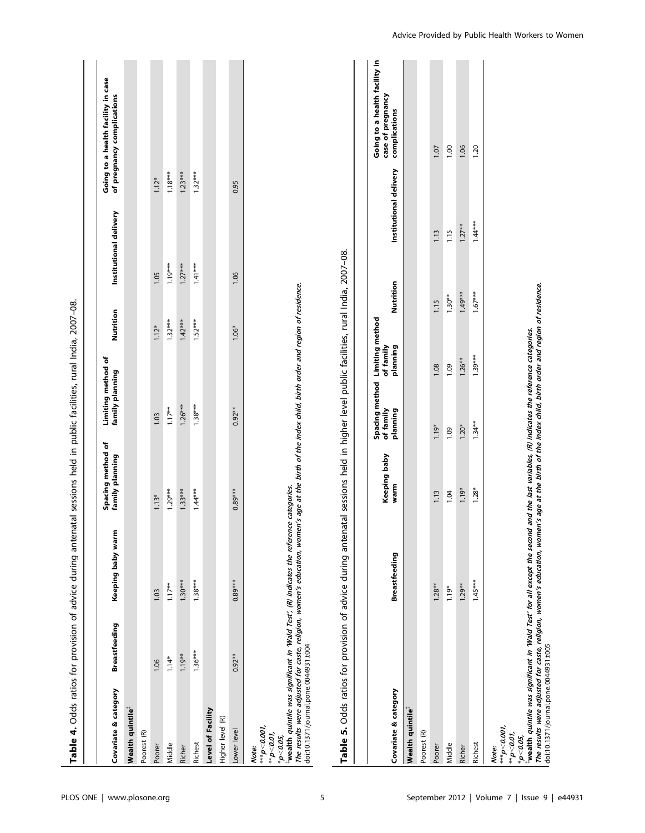|                                                                                                     |                      | Table 4. Odds ratios for provision of advice during antenatal sessions held in public facilities, rural India, 2007-08.                                                                                                                        |                                      |                                       |           |                        |                                                                  |
|-----------------------------------------------------------------------------------------------------|----------------------|------------------------------------------------------------------------------------------------------------------------------------------------------------------------------------------------------------------------------------------------|--------------------------------------|---------------------------------------|-----------|------------------------|------------------------------------------------------------------|
|                                                                                                     |                      |                                                                                                                                                                                                                                                |                                      |                                       |           |                        |                                                                  |
| Covariate & category                                                                                | <b>Breastfeeding</b> | Keeping baby warm                                                                                                                                                                                                                              | Spacing method of<br>family planning | Limiting method of<br>family planning | Nutrition | Institutional delivery | Going to a health facility in case<br>of pregnancy complications |
| Wealth quintile <sup>3</sup>                                                                        |                      |                                                                                                                                                                                                                                                |                                      |                                       |           |                        |                                                                  |
| Poorest (R)                                                                                         |                      |                                                                                                                                                                                                                                                |                                      |                                       |           |                        |                                                                  |
| Poorer                                                                                              | 1.06                 | 1.03                                                                                                                                                                                                                                           | $1.13*$                              | 1.03                                  | $1.12*$   | 1.05                   | $1.12*$                                                          |
| Middle                                                                                              | $1.14*$              | $1.17**$                                                                                                                                                                                                                                       | $1.29***$                            | $1.17**$                              | $1.32***$ | $1.19***$              | $1.18***$                                                        |
| Richer                                                                                              | $1.19**$             | $1.30***$                                                                                                                                                                                                                                      | $1.33***$                            | $1.26***$                             | $1.42***$ | $1.27***$              | $1.23***$                                                        |
| Richest                                                                                             | $1.36***$            | $1.38***$                                                                                                                                                                                                                                      | $1.44***$                            | $1.38***$                             | $1.52***$ | $1.41***$              | $1.32***$                                                        |
| Level of Facility                                                                                   |                      |                                                                                                                                                                                                                                                |                                      |                                       |           |                        |                                                                  |
| Higher level (R)                                                                                    |                      |                                                                                                                                                                                                                                                |                                      |                                       |           |                        |                                                                  |
| Lower level                                                                                         | $0.92***$            | $0.89***$                                                                                                                                                                                                                                      | $0.89***$                            | $0.92**$                              | $1.06*$   | 1.06                   | 0.95                                                             |
| doi:10.1371/journal.pone.0044931.t004<br>$^{***}$ p<0.001,<br>$*_{p<0.01}$<br>$*_{p<0.05}$<br>Note: |                      | The results were adjusted for caste, religion, women's education, women's age at the birth of the index child, birth order and region of residence.<br>wealth quintile was significant in 'Wald Test', (R) indicates the reference categories. |                                      |                                       |           |                        |                                                                  |

| ֖֪ׅ֚֚֚֚֚֚֚֚֚֚֚֚֚֚֚֚֡֝֝֝֝֝֝֬֝֬֝֝֬֝֬֝֝֬֝֝֬֝֬֝֬֝֬֝֬֝֬֝֬֝֬֝֬֝֬֝֬ |
|--------------------------------------------------------------|
|                                                              |
| ׇ֚֓֡                                                         |
| ׇ֚֓֡                                                         |
| ׇ֓֕֡                                                         |
|                                                              |
|                                                              |
| ׇ֚֚֬                                                         |
|                                                              |
|                                                              |
|                                                              |
| í                                                            |
| ׇ֚֘֝֬                                                        |
|                                                              |
|                                                              |
| j                                                            |
|                                                              |
| j                                                            |
|                                                              |
|                                                              |
|                                                              |
|                                                              |
| í                                                            |
|                                                              |
|                                                              |
|                                                              |
| l                                                            |
|                                                              |
|                                                              |
| l                                                            |
|                                                              |
| י                                                            |
| ֚֚֚֬                                                         |
|                                                              |
|                                                              |
|                                                              |
|                                                              |
|                                                              |
|                                                              |
|                                                              |
|                                                              |
|                                                              |
|                                                              |
|                                                              |
| ֠                                                            |
|                                                              |
|                                                              |
| j<br>i<br>1                                                  |
| į<br>í                                                       |
| į<br>$\overline{\phantom{a}}$<br>֘֒                          |
|                                                              |

| Covariate & category                                                                                                                                                                                                                                                                                                                                              | <b>Breastfeeding</b> | <b>Keeping baby</b><br>warm | Spacing method Limiting method<br>of family<br>planning | of family<br>planning | Nutrition | Institutional delivery | Going to a health facility in<br>case of pregnancy<br>complications |
|-------------------------------------------------------------------------------------------------------------------------------------------------------------------------------------------------------------------------------------------------------------------------------------------------------------------------------------------------------------------|----------------------|-----------------------------|---------------------------------------------------------|-----------------------|-----------|------------------------|---------------------------------------------------------------------|
| Wealth quintile <sup>®</sup>                                                                                                                                                                                                                                                                                                                                      |                      |                             |                                                         |                       |           |                        |                                                                     |
| Poorest (R)                                                                                                                                                                                                                                                                                                                                                       |                      |                             |                                                         |                       |           |                        |                                                                     |
| Poorer                                                                                                                                                                                                                                                                                                                                                            | $1.28**$             | 1.13                        | $1.19*$                                                 | 1.08                  | 1.15      | 113                    | 107                                                                 |
| Middle                                                                                                                                                                                                                                                                                                                                                            | $1.19*$              | 104                         | 0.09                                                    | $\frac{6}{1}$         | $1.30**$  | 115                    | 00.1                                                                |
| Richer                                                                                                                                                                                                                                                                                                                                                            | $1.29**$             | 1.19*                       | $1.20*$                                                 | $1.26**$              | $1.49***$ | $1.27**$               | 1.06                                                                |
| Richest                                                                                                                                                                                                                                                                                                                                                           | $1.45***$            | $1.28*$                     | $1.34**$                                                | $1.39***$             | $1.67***$ | $1.44***$              | 20                                                                  |
| $^{***}$ p<0.001,<br>$^{**}p<$ 0.01,<br>Note:                                                                                                                                                                                                                                                                                                                     |                      |                             |                                                         |                       |           |                        |                                                                     |
| The results were adjusted for caste, religion, women's education, women's age at the birth of the index child, birth order and region of residence.<br>wealth quintile was significant in Wald Test' for all except the second and the last variables, (R) indicates the reference categories.<br>doi:10.1371/journal.pone.0044931.t005<br>$*_{\bm{p}<\bm{0.05}}$ |                      |                             |                                                         |                       |           |                        |                                                                     |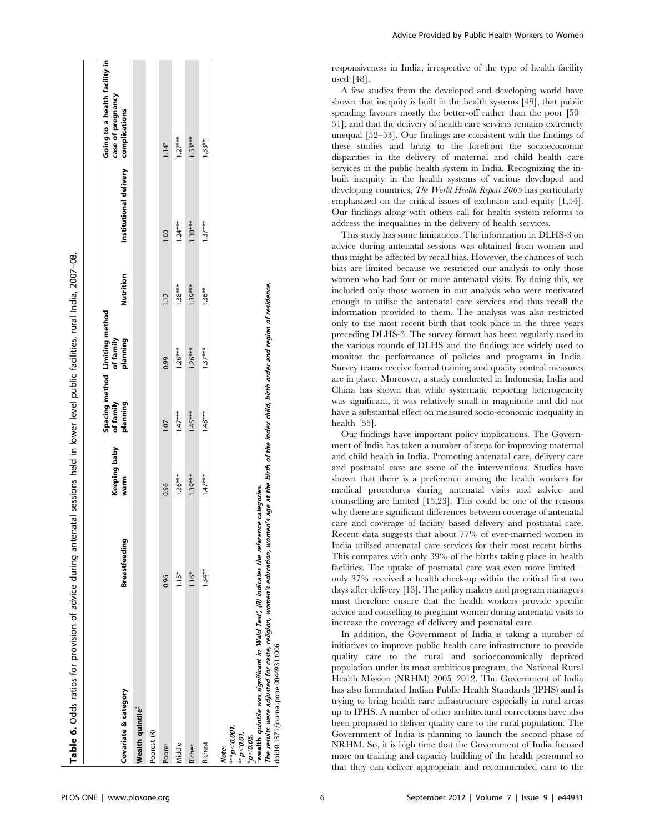|                                                                                                                                                                                                                                                                                                                                                 |                      | <b>Keeping baby</b> | of family | Spacing method Limiting method<br>of family |           |                        | Going to a health facility in<br>case of pregnancy |
|-------------------------------------------------------------------------------------------------------------------------------------------------------------------------------------------------------------------------------------------------------------------------------------------------------------------------------------------------|----------------------|---------------------|-----------|---------------------------------------------|-----------|------------------------|----------------------------------------------------|
| Covariate & category                                                                                                                                                                                                                                                                                                                            | <b>Breastfeeding</b> | warm                | planning  | planning                                    | Nutrition | Institutional delivery | complications                                      |
| Wealth quintile <sup>®</sup>                                                                                                                                                                                                                                                                                                                    |                      |                     |           |                                             |           |                        |                                                    |
| Poorest <sub>(R)</sub>                                                                                                                                                                                                                                                                                                                          |                      |                     |           |                                             |           |                        |                                                    |
| Poorer                                                                                                                                                                                                                                                                                                                                          | 0.96                 | 0.96                | 1.07      | 0.99                                        | 1.12      | 1.00                   | $1.14*$                                            |
| Middle                                                                                                                                                                                                                                                                                                                                          | $1.15*$              | $1.26***$           | $1.47***$ | $1.26***$                                   | $1.38***$ | $1.24***$              | $1.27***$                                          |
| Richer                                                                                                                                                                                                                                                                                                                                          | $1.16*$              | $1.39***$           | $1.45***$ | $1.26***$                                   | $1.39***$ | $1.30***$              | $1.33***$                                          |
| Richest                                                                                                                                                                                                                                                                                                                                         | $1.34**$             | $1.47***$           | $1.48***$ | $1.37***$                                   | $1.36***$ | $1.37***$              | $1.33**$                                           |
| The results were adjusted for caste, religion, women's education, women's age at the birth of the index child, birth order and region of residence.<br>wealth quintile was significant in 'Wald Test', (R) indicates the reference categories.<br>doi:10.1371/journal.pone.0044931.t006<br>$* * p < 0.001$<br>$*_{p<0.01}$<br>p < 0.05<br>Note: |                      |                     |           |                                             |           |                        |                                                    |

disparities in the delivery of maternal and child health care services in the public health system in India. Recognizing the inbuilt inequity in the health systems of various developed and developing countries, The World Health Report 2005 has particularly emphasized on the critical issues of exclusion and equity [1,54]. Our findings along with others call for health system reforms to address the inequalities in the delivery of health services. This study has some limitations. The information in DLHS-3 on advice during antenatal sessions was obtained from women and thus might be affected by recall bias. However, the chances of such bias are limited because we restricted our analysis to only those women who had four or more antenatal visits. By doing this, we included only those women in our analysis who were motivated enough to utilise the antenatal care services and thus recall the information provided to them. The analysis was also restricted only to the most recent birth that took place in the three years

preceding DLHS-3. The survey format has been regularly used in the various rounds of DLHS and the findings are widely used to monitor the performance of policies and programs in India. Survey teams receive formal training and quality control measures are in place. Moreover, a study conducted in Indonesia, India and China has shown that while systematic reporting heterogeneity was significant, it was relatively small in magnitude and did not have a substantial effect on measured socio-economic inequality in health [55].

Our findings have important policy implications. The Government of India has taken a number of steps for improving maternal and child health in India. Promoting antenatal care, delivery care and postnatal care are some of the interventions. Studies have shown that there is a preference among the health workers for medical procedures during antenatal visits and advice and counselling are limited [15,23]. This could be one of the reasons why there are significant differences between coverage of antenatal care and coverage of facility based delivery and postnatal care. Recent data suggests that about 77% of ever-married women in India utilised antenatal care services for their most recent births. This compares with only 39% of the births taking place in health facilities. The uptake of postnatal care was even more limited – only 37% received a health check-up within the critical first two days after delivery [13]. The policy makers and program managers must therefore ensure that the health workers provide specific advice and couselling to pregnant women during antenatal visits to increase the coverage of delivery and postnatal care.

In addition, the Government of India is taking a number of initiatives to improve public health care infrastructure to provide quality care to the rural and socioeconomically deprived population under its most ambitious program, the National Rural Health Mission (NRHM) 2005–2012. The Government of India has also formulated Indian Public Health Standards (IPHS) and is trying to bring health care infrastructure especially in rural areas up to IPHS. A number of other architectural corrections have also been proposed to deliver quality care to the rural population. The Government of India is planning to launch the second phase of NRHM. So, it is high time that the Government of India focused more on training and capacity building of the health personnel so that they can deliver appropriate and recommended care to the

responsiveness in India, irrespective of the type of health facility

A few studies from the developed and developing world have shown that inequity is built in the health systems [49], that public spending favours mostly the better-off rather than the poor [50– 51], and that the delivery of health care services remains extremely unequal [52–53]. Our findings are consistent with the findings of these studies and bring to the forefront the socioeconomic

used [48].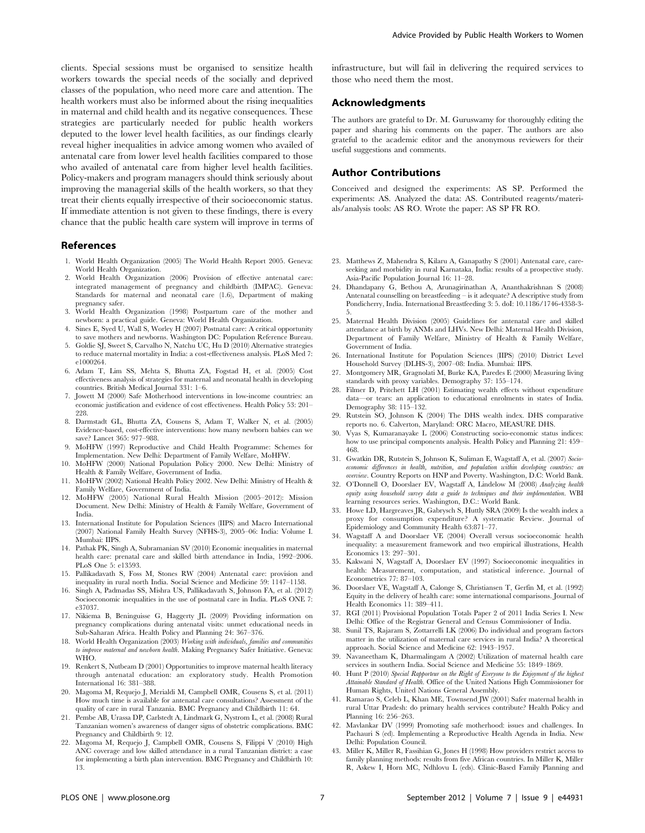clients. Special sessions must be organised to sensitize health workers towards the special needs of the socially and deprived classes of the population, who need more care and attention. The health workers must also be informed about the rising inequalities in maternal and child health and its negative consequences. These strategies are particularly needed for public health workers deputed to the lower level health facilities, as our findings clearly reveal higher inequalities in advice among women who availed of antenatal care from lower level health facilities compared to those who availed of antenatal care from higher level health facilities. Policy-makers and program managers should think seriously about improving the managerial skills of the health workers, so that they treat their clients equally irrespective of their socioeconomic status. If immediate attention is not given to these findings, there is every chance that the public health care system will improve in terms of

#### References

- 1. World Health Organization (2005) The World Health Report 2005. Geneva: World Health Organization.
- 2. World Health Organization (2006) Provision of effective antenatal care: integrated management of pregnancy and childbirth (IMPAC). Geneva: Standards for maternal and neonatal care (1.6), Department of making pregnancy safer.
- 3. World Health Organization (1998) Postpartum care of the mother and newborn: a practical guide. Geneva: World Health Organization.
- 4. Sines E, Syed U, Wall S, Worley H (2007) Postnatal care: A critical opportunity to save mothers and newborns. Washington DC: Population Reference Bureau.
- 5. Goldie SJ, Sweet S, Carvalho N, Natchu UC, Hu D (2010) Alternative strategies to reduce maternal mortality in India: a cost-effectiveness analysis. PLoS Med 7: e1000264.
- 6. Adam T, Lim SS, Mehta S, Bhutta ZA, Fogstad H, et al. (2005) Cost effectiveness analysis of strategies for maternal and neonatal health in developing countries. British Medical Journal 331: 1–6.
- 7. Jowett M (2000) Safe Motherhood interventions in low-income countries: an economic justification and evidence of cost effectiveness. Health Policy 53: 201– 228
- 8. Darmstadt GL, Bhutta ZA, Cousens S, Adam T, Walker N, et al. (2005) Evidence-based, cost-effective interventions: how many newborn babies can we save? Lancet 365: 977–988.
- 9. MoHFW (1997) Reproductive and Child Health Programme: Schemes for Implementation. New Delhi: Department of Family Welfare, MoHFW.
- 10. MoHFW (2000) National Population Policy 2000. New Delhi: Ministry of Health & Family Welfare, Government of India.
- 11. MoHFW (2002) National Health Policy 2002. New Delhi: Ministry of Health & Family Welfare, Government of India.
- 12. MoHFW (2005) National Rural Health Mission (2005–2012): Mission Document. New Delhi: Ministry of Health & Family Welfare, Government of India.
- 13. International Institute for Population Sciences (IIPS) and Macro International (2007) National Family Health Survey (NFHS-3), 2005–06: India: Volume I. Mumbai: IIPS.
- 14. Pathak PK, Singh A, Subramanian SV (2010) Economic inequalities in maternal health care: prenatal care and skilled birth attendance in India, 1992–2006. PLoS One 5: e13593.
- 15. Pallikadavath S, Foss M, Stones RW (2004) Antenatal care: provision and inequality in rural north India. Social Science and Medicine 59: 1147–1158.
- 16. Singh A, Padmadas SS, Mishra US, Pallikadavath S, Johnson FA, et al. (2012) Socioeconomic inequalities in the use of postnatal care in India. PLoS ONE 7: e37037.
- 17. Nikiema B, Beninguisse G, Haggerty JL (2009) Providing information on pregnancy complications during antenatal visits: unmet educational needs in Sub-Saharan Africa. Health Policy and Planning 24: 367–376.
- 18. World Health Organization (2003) Working with individuals, families and communities to improve maternal and newborn health. Making Pregnancy Safer Initiative. Geneva: WHO.
- 19. Renkert S, Nutbeam D (2001) Opportunities to improve maternal health literacy through antenatal education: an exploratory study. Health Promotion International 16: 381–388.
- 20. Magoma M, Requejo J, Merialdi M, Campbell OMR, Cousens S, et al. (2011) How much time is available for antenatal care consultations? Assessment of the quality of care in rural Tanzania. BMC Pregnancy and Childbirth 11: 64.
- 21. Pembe AB, Urassa DP, Carlstedt A, Lindmark G, Nystrom L, et al. (2008) Rural Tanzanian women's awareness of danger signs of obstetric complications. BMC Pregnancy and Childbirth 9: 12.
- 22. Magoma M, Requejo J, Campbell OMR, Cousens S, Filippi V (2010) High ANC coverage and low skilled attendance in a rural Tanzanian district: a case for implementing a birth plan intervention. BMC Pregnancy and Childbirth 10: 13.

infrastructure, but will fail in delivering the required services to those who need them the most.

# Acknowledgments

The authors are grateful to Dr. M. Guruswamy for thoroughly editing the paper and sharing his comments on the paper. The authors are also grateful to the academic editor and the anonymous reviewers for their useful suggestions and comments.

## Author Contributions

Conceived and designed the experiments: AS SP. Performed the experiments: AS. Analyzed the data: AS. Contributed reagents/materials/analysis tools: AS RO. Wrote the paper: AS SP FR RO.

- 23. Matthews Z, Mahendra S, Kilaru A, Ganapathy S (2001) Antenatal care, careseeking and morbidity in rural Karnataka, India: results of a prospective study. Asia-Pacific Population Journal 16: 11–28.
- 24. Dhandapany G, Bethou A, Arunagirinathan A, Ananthakrishnan S (2008) Antenatal counselling on breastfeeding – is it adequate? A descriptive study from Pondicherry, India. International Breastfeeding 3: 5. doI: 10.1186/1746-4358-3- 5.
- 25. Maternal Health Division (2005) Guidelines for antenatal care and skilled attendance at birth by ANMs and LHVs. New Delhi: Maternal Health Division, Department of Family Welfare, Ministry of Health & Family Welfare, Government of India.
- 26. International Institute for Population Sciences (IIPS) (2010) District Level Household Survey (DLHS-3), 2007–08: India. Mumbai: IIPS.
- 27. Montgomery MR, Gragnolati M, Burke KA, Paredes E (2000) Measuring living standards with proxy variables. Demography 37: 155–174.
- 28. Filmer D, Pritchett LH (2001) Estimating wealth effects without expenditure data—or tears: an application to educational enrolments in states of India. Demography 38: 115–132.
- 29. Rutstein SO, Johnson K (2004) The DHS wealth index. DHS comparative reports no. 6. Calverton, Maryland: ORC Macro, MEASURE DHS.
- Vyas S, Kumaranayake L (2006) Constructing socio-economic status indices: how to use principal components analysis. Health Policy and Planning 21: 459– 468.
- 31. Gwatkin DR, Rutstein S, Johnson K, Suliman E, Wagstaff A, et al. (2007) Socioeconomic differences in health, nutrition, and population within developing countries: an overview. Country Reports on HNP and Poverty. Washington, D.C: World Bank.
- 32. O'Donnell O, Doorslaer EV, Wagstaff A, Lindelow M (2008) Analyzing health equity using household survey data a guide to techniques and their implementation. WBI learning resources series. Washington, D.C.: World Bank.
- 33. Howe LD, Hargreaves JR, Gabrysch S, Huttly SRA (2009) Is the wealth index a proxy for consumption expenditure? A systematic Review. Journal of Epidemiology and Community Health 63:871–77.
- 34. Wagstaff A and Doorslaer VE (2004) Overall versus socioeconomic health inequality: a measurement framework and two empirical illustrations, Health Economics 13: 297–301.
- 35. Kakwani N, Wagstaff A, Doorslaer EV (1997) Socioeconomic inequalities in health: Measurement, computation, and statistical inference. Journal of Econometrics 77: 87–103.
- 36. Doorslaer VE, Wagstaff A, Calonge S, Christiansen T, Gerfin M, et al. (1992) Equity in the delivery of health care: some international comparisons. Journal of Health Economics 11: 389–411.
- 37. RGI (2011) Provisional Population Totals Paper 2 of 2011 India Series I. New Delhi: Office of the Registrar General and Census Commissioner of India.
- 38. Sunil TS, Rajaram S, Zottarrelli LK (2006) Do individual and program factors matter in the utilization of maternal care services in rural India? A theoretical approach. Social Science and Medicine 62: 1943–1957.
- 39. Navaneetham K, Dharmalingam A (2002) Utilization of maternal health care services in southern India. Social Science and Medicine 55: 1849–1869.
- 40. Hunt P (2010) Special Rapporteur on the Right of Everyone to the Enjoyment of the highest Attainable Standard of Health. Office of the United Nations High Commissioner for Human Rights, United Nations General Assembly.
- 41. Ramarao S, Celeb L, Khan ME, Townsend JW (2001) Safer maternal health in rural Uttar Pradesh: do primary health services contribute? Health Policy and Planning 16: 256–263.
- 42. Mavlankar DV (1999) Promoting safe motherhood: issues and challenges. In Pachauri S (ed). Implementing a Reproductive Health Agenda in India. New Delhi: Population Council.
- 43. Miller K, Miller R, Fassihian G, Jones H (1998) How providers restrict access to family planning methods: results from five African countries. In Miller K, Miller R, Askew I, Horn MC, Ndhlovu L (eds). Clinic-Based Family Planning and